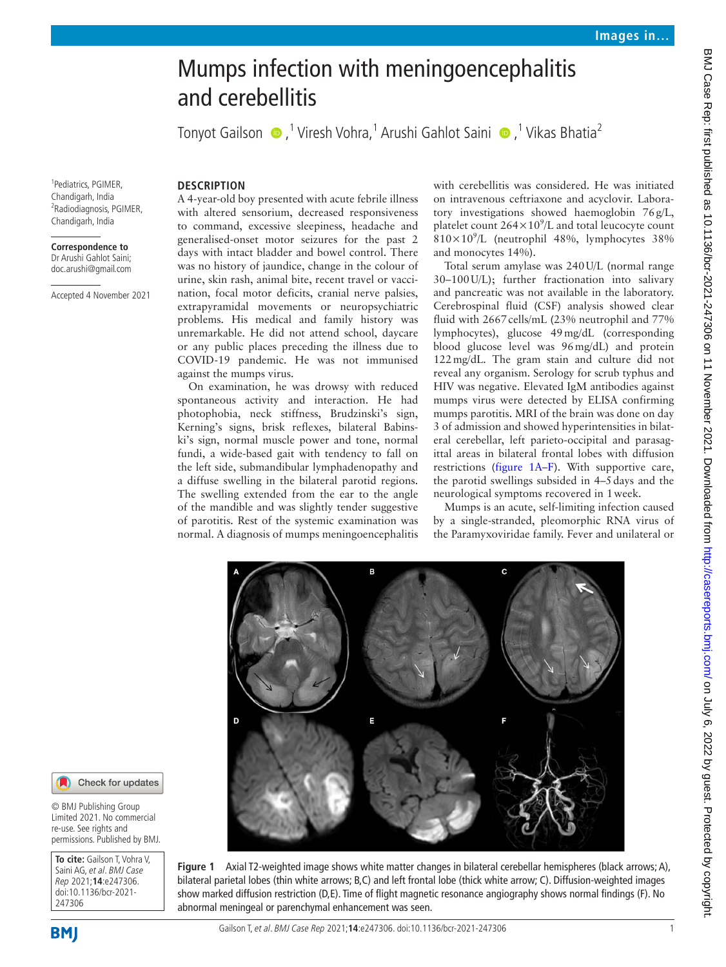# Mumps infection with meningoencephalitis and cerebellitis

TonyotGailson ●,<sup>1</sup> Viresh Vohra,<sup>1</sup> Arushi Gahlot Saini ●,<sup>1</sup> Vikas Bhatia<sup>2</sup>

1 Pediatrics, PGIMER, Chandigarh, India 2 Radiodiagnosis, PGIMER, Chandigarh, India

#### **Correspondence to** Dr Arushi Gahlot Saini; doc.arushi@gmail.com

Accepted 4 November 2021

# **DESCRIPTION**

A 4-year-old boy presented with acute febrile illness with altered sensorium, decreased responsiveness to command, excessive sleepiness, headache and generalised-onset motor seizures for the past 2 days with intact bladder and bowel control. There was no history of jaundice, change in the colour of urine, skin rash, animal bite, recent travel or vaccination, focal motor deficits, cranial nerve palsies, extrapyramidal movements or neuropsychiatric problems. His medical and family history was unremarkable. He did not attend school, daycare or any public places preceding the illness due to COVID-19 pandemic. He was not immunised against the mumps virus.

On examination, he was drowsy with reduced spontaneous activity and interaction. He had photophobia, neck stiffness, Brudzinski's sign, Kerning's signs, brisk reflexes, bilateral Babinski's sign, normal muscle power and tone, normal fundi, a wide-based gait with tendency to fall on the left side, submandibular lymphadenopathy and a diffuse swelling in the bilateral parotid regions. The swelling extended from the ear to the angle of the mandible and was slightly tender suggestive of parotitis. Rest of the systemic examination was normal. A diagnosis of mumps meningoencephalitis with cerebellitis was considered. He was initiated on intravenous ceftriaxone and acyclovir. Laboratory investigations showed haemoglobin 76g/L, platelet count  $264 \times 10^9$ /L and total leucocyte count 810×10<sup>9</sup> /L (neutrophil 48%, lymphocytes 38% and monocytes 14%).

Total serum amylase was 240U/L (normal range 30–100U/L); further fractionation into salivary and pancreatic was not available in the laboratory. Cerebrospinal fluid (CSF) analysis showed clear fluid with 2667 cells/mL (23% neutrophil and 77% lymphocytes), glucose 49mg/dL (corresponding blood glucose level was 96mg/dL) and protein 122mg/dL. The gram stain and culture did not reveal any organism. Serology for scrub typhus and HIV was negative. Elevated IgM antibodies against mumps virus were detected by ELISA confirming mumps parotitis. MRI of the brain was done on day 3 of admission and showed hyperintensities in bilateral cerebellar, left parieto-occipital and parasagittal areas in bilateral frontal lobes with diffusion restrictions [\(figure](#page-0-0) 1A–F). With supportive care, the parotid swellings subsided in 4–5days and the neurological symptoms recovered in 1week.

Mumps is an acute, self-limiting infection caused by a single-stranded, pleomorphic RNA virus of the Paramyxoviridae family. Fever and unilateral or



<span id="page-0-0"></span>bilateral parietal lobes (thin white arrows; B,C) and left frontal lobe (thick white arrow; C). Diffusion-weighted images show marked diffusion restriction (D,E). Time of flight magnetic resonance angiography shows normal findings (F). No

## Check for updates

© BMJ Publishing Group Limited 2021. No commercial re-use. See rights and permissions. Published by BMJ.

**To cite:** Gailson T, Vohra V, Saini AG, et al. BMJ Case Rep 2021;**14**:e247306. doi:10.1136/bcr-2021- 247306

**BMI** 

abnormal meningeal or parenchymal enhancement was seen.